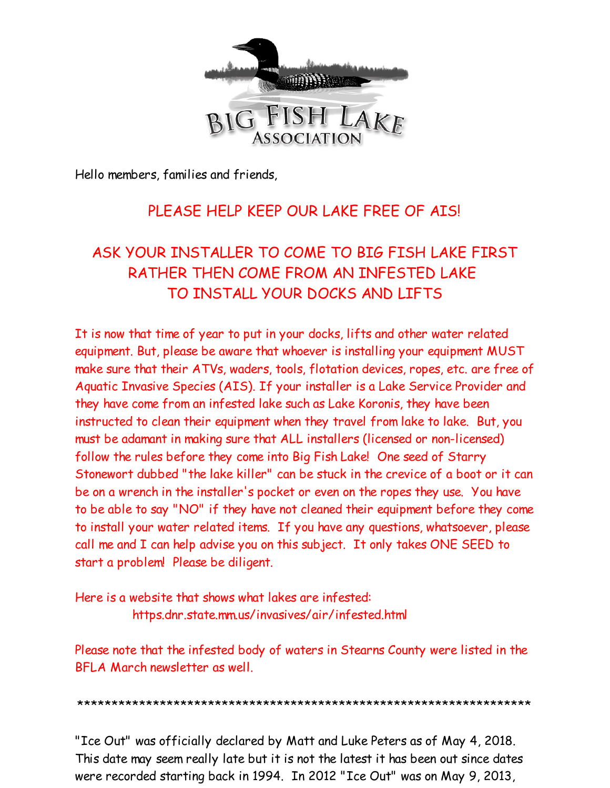

Hello members, families and friends,

# PLEASE HELP KEEP OUR LAKE FREE OF AIS!

# ASK YOUR INSTALLER TO COME TO BIG FISH LAKE FIRST RATHER THEN COME FROM AN INFESTED LAKE TO INSTALL YOUR DOCKS AND LIFTS

It is now that time of year to put in your docks, lifts and other water related equipment. But, please be aware that whoever is installing your equipment MUST make sure that their ATVs, waders, tools, flotation devices, ropes, etc. are free of Aquatic Invasive Species (AIS). If your installer is a Lake Service Provider and they have come from an infested lake such as Lake Koronis, they have been instructed to clean their equipment when they travel from lake to lake. But, you must be adamant in making sure that ALL installers (licensed or non-licensed) follow the rules before they come into Big Fish Lake! One seed of Starry Stonewort dubbed "the lake killer" can be stuck in the crevice of a boot or it can be on a wrench in the installer's pocket or even on the ropes they use. You have to be able to say "NO" if they have not cleaned their equipment before they come to install your water related items. If you have any questions, whatsoever, please call me and I can help advise you on this subject. It only takes ONE SEED to start a problem! Please be diligent.

Here is a website that shows what lakes are infested: https.dnr.state.mm.us/invasives/air/infested.html

Please note that the infested body of waters in Stearns County were listed in the BFLA March newsletter as well.

\*\*\*\*\*\*\*\*\*\*\*\*\*\*\*\*\*\*\*\*\*\*\*\*\*\*\*\*\*\*\*\*\*\*\*\*\*\*\*\*\*\*\*\*\*\*\*\*\*\*\*\*\*\*\*\*\*\*\*\*\*\*\*\*\*\*

"Ice Out" was officially declared by Matt and Luke Peters as of May 4, 2018. This date may seem really late but it is not the latest it has been out since dates were recorded starting back in 1994. In 2012 "Ice Out" was on May 9, 2013,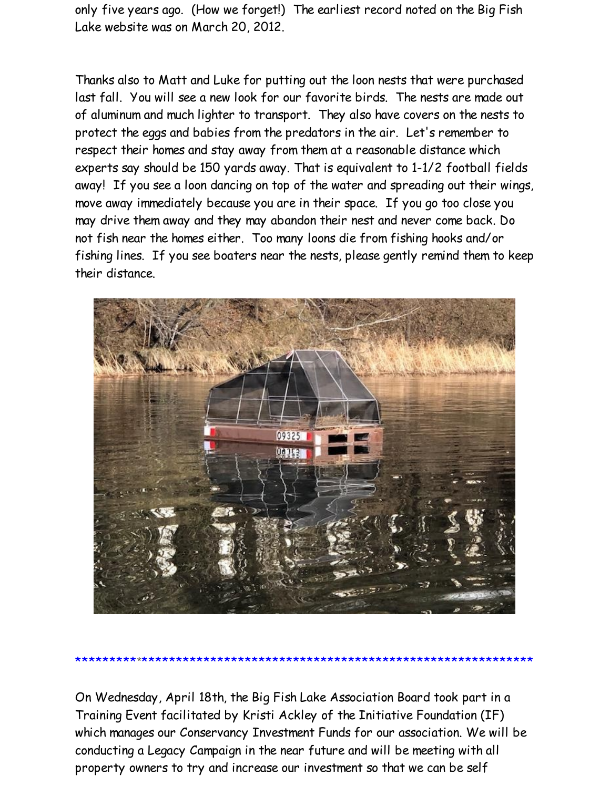only five years ago. (How we forget!) The earliest record noted on the Big Fish Lake website was on March 20, 2012.

Thanks also to Matt and Luke for putting out the loon nests that were purchased last fall. You will see a new look for our favorite birds. The nests are made out of aluminum and much lighter to transport. They also have covers on the nests to protect the eggs and babies from the predators in the air. Let's remember to respect their homes and stay away from them at a reasonable distance which experts say should be 150 yards away. That is equivalent to 1-1/2 football fields away! If you see a loon dancing on top of the water and spreading out their wings, move away immediately because you are in their space. If you go too close you may drive them away and they may abandon their nest and never come back. Do not fish near the homes either. Too many loons die from fishing hooks and/or fishing lines. If you see boaters near the nests, please gently remind them to keep their distance.



On Wednesday, April 18th, the Big Fish Lake Association Board took part in a Training Event facilitated by Kristi Ackley of the Initiative Foundation (IF) which manages our Conservancy Investment Funds for our association. We will be conducting a Legacy Campaign in the near future and will be meeting with all property owners to try and increase our investment so that we can be self

\*\*\*\*\*\*\*\*\*\*\*\*\*\*\*\*\*\*\*\*\*\*\*\*\*\*\*\*\*\*\*\*\*\*\*\*\*\*\*\*\*\*\*\*\*\*\*\*\*\*\*\*\*\*\*\*\*\*\*\*\*\*\*\*\*\*\*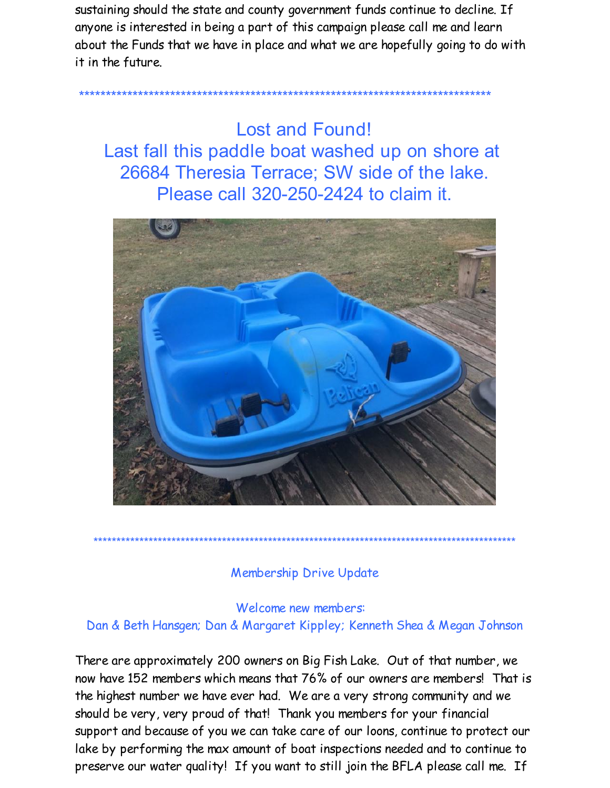sustaining should the state and county government funds continue to decline. If anyone is interested in being a part of this campaign please call me and learn about the Funds that we have in place and what we are hopefully going to do with it in the future.

**Lost and Found!** Last fall this paddle boat washed up on shore at 26684 Theresia Terrace; SW side of the lake. Please call 320-250-2424 to claim it



## **Membership Drive Update**

Welcome new members: Dan & Beth Hansgen; Dan & Margaret Kippley; Kenneth Shea & Megan Johnson

There are approximately 200 owners on Big Fish Lake. Out of that number, we now have 152 members which means that 76% of our owners are members! That is the highest number we have ever had. We are a very strong community and we should be very, very proud of that! Thank you members for your financial support and because of you we can take care of our loons, continue to protect our lake by performing the max amount of boat inspections needed and to continue to preserve our water quality! If you want to still join the BFLA please call me. If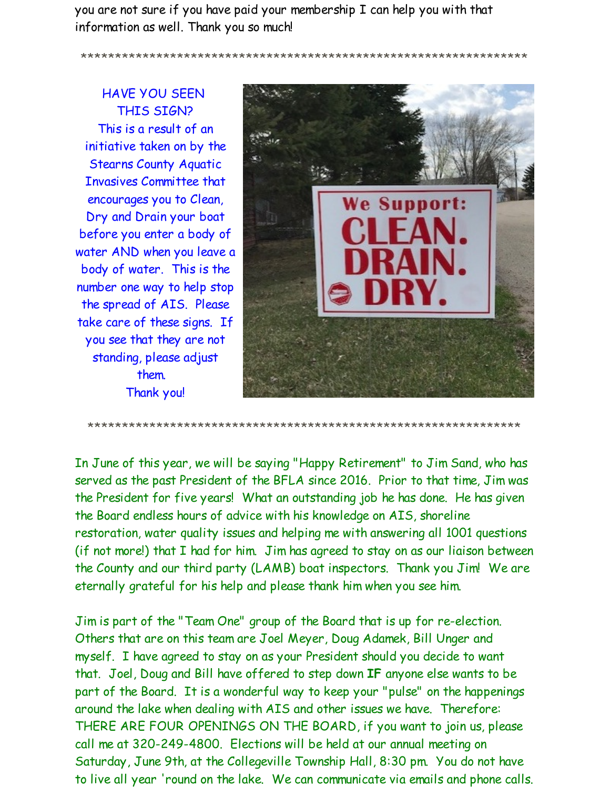you are not sure if you have paid your membership I can help you with that information as well. Thank you so much!

\*\*\*\*\*\*\*\*\*\*\*\*\*\*\*\*\*\*\*\*\*\*\*\*\*\*\*\*\*\*\*\*\*\*\*\*\*\*\*\*\*\*\*\*\*\*\*\*\*\*\*\*\*\*\*\*\*\*\*\*\*\*\*\*\*

HAVE YOU SEEN THIS SIGN? This is a result of an initiative taken on by the Stearns County Aquatic Invasives Committee that encourages you to Clean, Dry and Drain your boat before you enter a body of water AND when you leave a body of water. This is the number one way to help stop the spread of AIS. Please take care of these signs. If you see that they are not standing, please adjust them. Thank you!



\*\*\*\*\*\*\*\*\*\*\*\*\*\*\*\*\*\*\*\*\*\*\*\*\*\*\*\*\*\*\*\*\*\*\*\*\*\*\*\*\*\*\*\*\*\*\*\*\*\*\*\*\*\*\*\*\*\*\*\*\*\*\*

In June of this year, we will be saying "Happy Retirement" to Jim Sand, who has served as the past President of the BFLA since 2016. Prior to that time, Jim was the President for five years! What an outstanding job he has done. He has given the Board endless hours of advice with his knowledge on AIS, shoreline restoration, water quality issues and helping me with answering all 1001 questions (if not more!) that I had for him. Jim has agreed to stay on as our liaison between the County and our third party (LAMB) boat inspectors. Thank you Jim! We are eternally grateful for his help and please thank him when you see him.

Jim is part of the "Team One" group of the Board that is up for re-election. Others that are on this team are Joel Meyer, Doug Adamek, Bill Unger and myself. I have agreed to stay on as your President should you decide to want that. Joel, Doug and Bill have offered to step down **IF** anyone else wants to be part of the Board. It is a wonderful way to keep your "pulse" on the happenings around the lake when dealing with AIS and other issues we have. Therefore: THERE ARE FOUR OPENINGS ON THE BOARD, if you want to join us, please call me at 320-249-4800. Elections will be held at our annual meeting on Saturday, June 9th, at the Collegeville Township Hall, 8:30 pm. You do not have to live all year 'round on the lake. We can communicate via emails and phone calls.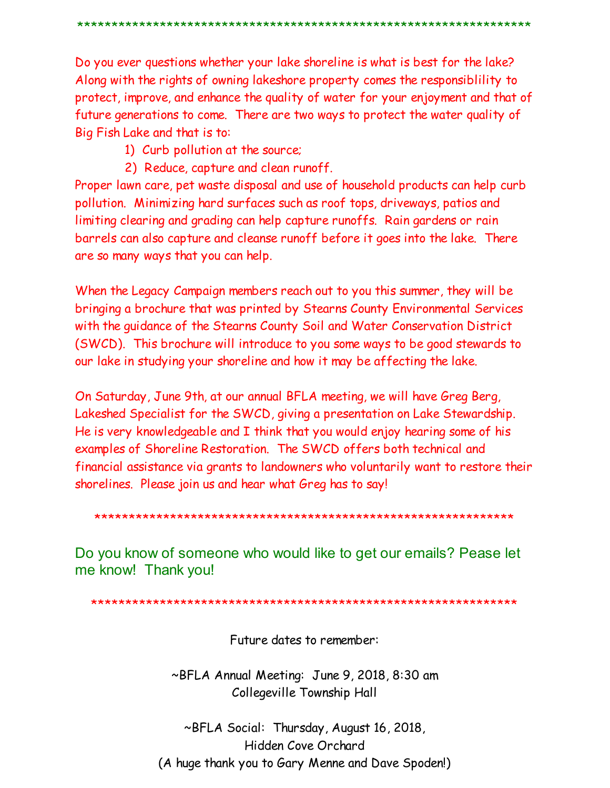Do you ever questions whether your lake shoreline is what is best for the lake? Along with the rights of owning lakeshore property comes the responsibility to protect, improve, and enhance the quality of water for your enjoyment and that of future generations to come. There are two ways to protect the water quality of Big Fish Lake and that is to:

- 1) Curb pollution at the source;
- 2) Reduce, capture and clean runoff.

Proper lawn care, pet waste disposal and use of household products can help curb pollution. Minimizing hard surfaces such as roof tops, driveways, patios and limiting clearing and grading can help capture runoffs. Rain gardens or rain barrels can also capture and cleanse runoff before it goes into the lake. There are so many ways that you can help.

When the Legacy Campaign members reach out to you this summer, they will be bringing a brochure that was printed by Stearns County Environmental Services with the quidance of the Stearns County Soil and Water Conservation District (SWCD). This brochure will introduce to you some ways to be good stewards to our lake in studying your shoreline and how it may be affecting the lake.

On Saturday, June 9th, at our annual BFLA meeting, we will have Greg Berg, Lakeshed Specialist for the SWCD, giving a presentation on Lake Stewardship. He is very knowledgeable and I think that you would enjoy hearing some of his examples of Shoreline Restoration. The SWCD offers both technical and financial assistance via grants to landowners who voluntarily want to restore their shorelines. Please join us and hear what Greg has to say!

Do you know of someone who would like to get our emails? Pease let me know! Thank you!

Future dates to remember:

~BFLA Annual Meeting: June 9, 2018, 8:30 am Collegeville Township Hall

~BFLA Social: Thursday, August 16, 2018, Hidden Cove Orchard (A huge thank you to Gary Menne and Dave Spoden!)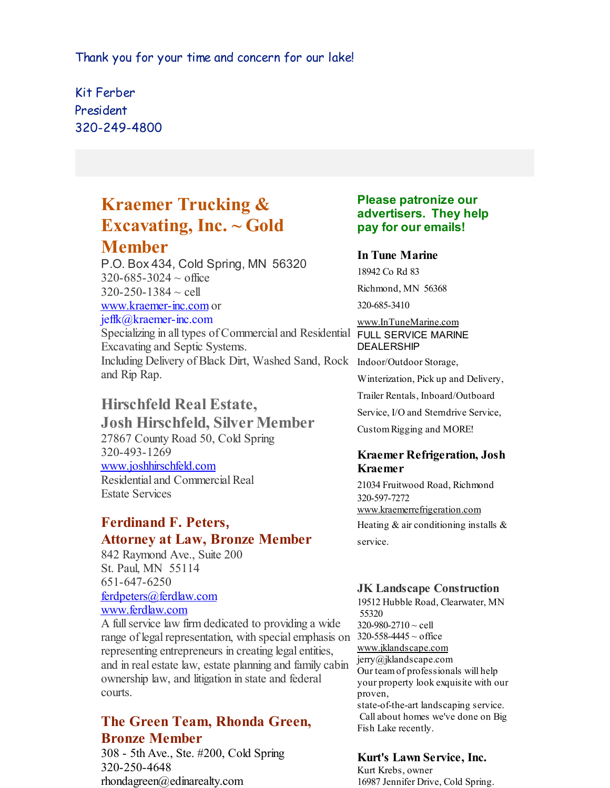Thank you for your time and concern for our lake!

Kit Ferber President 320-249-4800

# **Kraemer Trucking & Excavating, Inc. ~ Gold Member**

P.O. Box 434, Cold Spring, MN 56320  $320 - 685 - 3024 \sim$  office  $320 - 250 - 1384 \sim$  cell [www.kraemer-inc.com](http://r20.rs6.net/tn.jsp?f=001yYuOYkgZTNlB1yqqSMusM4-xn0V-lOlpUB-FD9pDmLl5jejvZmXSYL1vzb7lncBNLWxhuWqrL7sgVn5DoZ8npHAeHRueCkOe8MivlPrdTWo4uxkhTIRl-RoFb1OB2rQwHqraWefLvcbcKDk4Y-qCI2VtwbzSM-tkubHkN4qd4vw=&c=&ch=) or jeffk@kraemer-inc.com Specializing in all types of Commercial and Residential FULL SERVICE MARINE Excavating and Septic Systems. Including Delivery of Black Dirt, Washed Sand, Rock Indoor/Outdoor Storage, and Rip Rap.

# **Hirschfeld Real Estate,**

**Josh Hirschfeld, Silver Member** 27867 County Road 50, Cold Spring 320-493-1269 [www.joshhirschfeld.com](http://r20.rs6.net/tn.jsp?f=001yYuOYkgZTNlB1yqqSMusM4-xn0V-lOlpUB-FD9pDmLl5jejvZmXSYDTSkGDDIiRWoVyumckBiZWiqcGUFGuTKXat-t8NzQV8x51ELDiDYQPRy_uBn8yPxwDOM7aVszTGUW0d9cfmQd2XA2MFR70oPgYsqWedaX8Ac1nA5XQfFFC7F-uKKLiKiQ==&c=&ch=) Residential and Commercial Real Estate Services

## **Ferdinand F. Peters, Attorney at Law, Bronze Member**

842 Raymond Ave., Suite 200 St. Paul, MN 55114 651-647-6250 [ferdpeters@ferdlaw.com](mailto:ferdpeters@ferdlaw.com) [www.ferdlaw.com](http://r20.rs6.net/tn.jsp?f=001yYuOYkgZTNlB1yqqSMusM4-xn0V-lOlpUB-FD9pDmLl5jejvZmXSYCI0geal1cqu3AudCkt-JFCWYl6wQsRF3daxm2ndG0f50buL70IZmvDw6Z-V0MaEubkmVosWGkjdkk69kTJo-iGBI4feoYp-ce_OVegXU-5VH_ubPIrGCwA=&c=&ch=)

A fullservice law firm dedicated to providing a wide range of legal representation, with special emphasis on  $320-558-4445 \sim$  office representing entrepreneurs in creating legal entities, and in real estate law, estate planning and family cabin ownership law, and litigation in state and federal courts.

## **The Green Team, Rhonda Green, Bronze Member**

308 - 5th Ave., Ste. #200, Cold Spring 320-250-4648 rhondagreen@edinarealty.com

### **Please patronize our advertisers. They help pay for our emails!**

#### **In Tune Marine**

18942 Co Rd 83 Richmond, MN 56368

320-685-3410

## [www.InTuneMarine.com](http://r20.rs6.net/tn.jsp?f=001yYuOYkgZTNlB1yqqSMusM4-xn0V-lOlpUB-FD9pDmLl5jejvZmXSYDTSkGDDIiRWWysALjZe7xBDCtIXWbBazt6wS4fwnAwinX2K8WISqxg8mSN5ZuOm9dE9cCfqhxhcPcQrLequmTOPPvbnwcJbux9XUCGvYNlLJa9NEMfuLlk=&c=&ch=) DEALERSHIP

Winterization, Pick up and Delivery,

Trailer Rentals, Inboard/Outboard

Service, I/O and Sterndrive Service,

CustomRigging and MORE!

#### **Kraemer Refrigeration, Josh Kraemer**

21034 Fruitwood Road, Richmond 320-597-7272 [www.kraemerrefrigeration.com](http://r20.rs6.net/tn.jsp?f=001yYuOYkgZTNlB1yqqSMusM4-xn0V-lOlpUB-FD9pDmLl5jejvZmXSYDTSkGDDIiRW0rs51QvVOhAFKaGLmWVf0qjh-mHUiP_05tTh3MYIgo_Juj5i5D8NrpxX4yH7naDYD43RD-KJXR3PQsSBT2rL7QsNZ8GOx7PfJTxIGj9LuS8_7MqgFOrxcA==&c=&ch=) Heating  $&$  air conditioning installs  $&$ service.

### **JK Landscape Construction**

19512 Hubble Road, Clearwater, MN 55320 320-980-2710 ~ cell [www.jklandscape.com](http://r20.rs6.net/tn.jsp?f=001yYuOYkgZTNlB1yqqSMusM4-xn0V-lOlpUB-FD9pDmLl5jejvZmXSYAOi-YPgurjFzyQpDuX0jYendJJmc4xNn_kxHQncR_ElQKFOVOl8s4Pm8RVQiTX92vQ-EH1YRWH5jgXPbNvhbo0bpzEvULs-bQ3_vwppaYjVtaemSpwDymU=&c=&ch=) jerry@jklandscape.com Our teamof professionals will help your property look exquisite with our proven, state-of-the-art landscaping service. Call about homes we've done on Big Fish Lake recently.

### **Kurt's Lawn Service, Inc.**

Kurt Krebs, owner 16987 Jennifer Drive, Cold Spring.